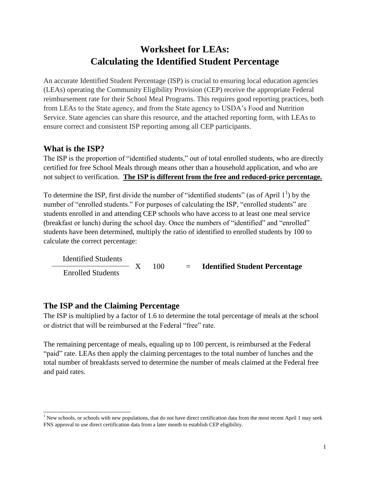## **Worksheet for LEAs: Calculating the Identified Student Percentage**

An accurate Identified Student Percentage (ISP) is crucial to ensuring local education agencies (LEAs) operating the Community Eligibility Provision (CEP) receive the appropriate Federal reimbursement rate for their School Meal Programs. This requires good reporting practices, both from LEAs to the State agency, and from the State agency to USDA's Food and Nutrition Service. State agencies can share this resource, and the attached reporting form, with LEAs to ensure correct and consistent ISP reporting among all CEP participants.

## **What is the ISP?**

The ISP is the proportion of "identified students," out of total enrolled students, who are directly certified for free School Meals through means other than a household application, and who are not subject to verification. **The ISP is different from the free and reduced-price percentage.**

To determine the ISP, first divide the number of "identified students" (as of April  $1<sup>1</sup>$ ) by the number of "enrolled students." For purposes of calculating the ISP, "enrolled students" are students enrolled in and attending CEP schools who have access to at least one meal service (breakfast or lunch) during the school day. Once the numbers of "identified" and "enrolled" students have been determined, multiply the ratio of identified to enrolled students by 100 to calculate the correct percentage:

 Identified Students X 100 = **Identified Student Percentage** Enrolled Students

## **The ISP and the Claiming Percentage**

The ISP is multiplied by a factor of 1.6 to determine the total percentage of meals at the school or district that will be reimbursed at the Federal "free" rate.

The remaining percentage of meals, equaling up to 100 percent, is reimbursed at the Federal "paid" rate. LEAs then apply the claiming percentages to the total number of lunches and the total number of breakfasts served to determine the number of meals claimed at the Federal free and paid rates.

 $\overline{\phantom{a}}$ <sup>1</sup> New schools, or schools with new populations, that do not have direct certification data from the most recent April 1 may seek FNS approval to use direct certification data from a later month to establish CEP eligibility.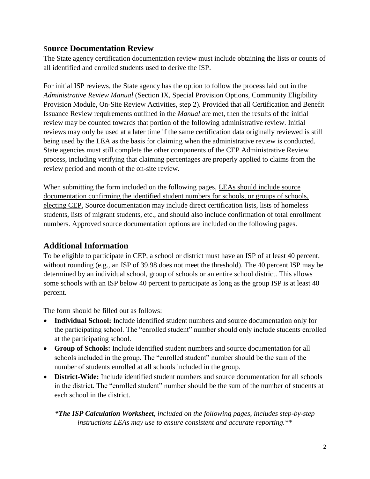#### S**ource Documentation Review**

The State agency certification documentation review must include obtaining the lists or counts of all identified and enrolled students used to derive the ISP.

For initial ISP reviews, the State agency has the option to follow the process laid out in the *Administrative Review Manual* (Section IX, Special Provision Options, Community Eligibility Provision Module, On-Site Review Activities, step 2). Provided that all Certification and Benefit Issuance Review requirements outlined in the *Manual* are met, then the results of the initial review may be counted towards that portion of the following administrative review. Initial reviews may only be used at a later time if the same certification data originally reviewed is still being used by the LEA as the basis for claiming when the administrative review is conducted. State agencies must still complete the other components of the CEP Administrative Review process, including verifying that claiming percentages are properly applied to claims from the review period and month of the on-site review.

When submitting the form included on the following pages, LEAs should include source documentation confirming the identified student numbers for schools, or groups of schools, electing CEP. Source documentation may include direct certification lists, lists of homeless students, lists of migrant students, etc., and should also include confirmation of total enrollment numbers. Approved source documentation options are included on the following pages.

## **Additional Information**

To be eligible to participate in CEP, a school or district must have an ISP of at least 40 percent, without rounding (e.g., an ISP of 39.98 does not meet the threshold). The 40 percent ISP may be determined by an individual school, group of schools or an entire school district. This allows some schools with an ISP below 40 percent to participate as long as the group ISP is at least 40 percent.

The form should be filled out as follows:

- **Individual School:** Include identified student numbers and source documentation only for the participating school. The "enrolled student" number should only include students enrolled at the participating school.
- **Group of Schools:** Include identified student numbers and source documentation for all schools included in the group. The "enrolled student" number should be the sum of the number of students enrolled at all schools included in the group.
- **District-Wide:** Include identified student numbers and source documentation for all schools in the district. The "enrolled student" number should be the sum of the number of students at each school in the district.

*\*The ISP Calculation Worksheet, included on the following pages, includes step-by-step instructions LEAs may use to ensure consistent and accurate reporting.\*\**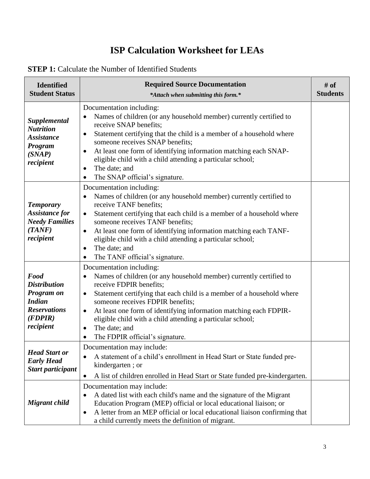# **ISP Calculation Worksheet for LEAs**

| <b>STEP 1:</b> Calculate the Number of Identified Students |
|------------------------------------------------------------|
|------------------------------------------------------------|

| <b>Identified</b><br><b>Student Status</b>                                                                       | <b>Required Source Documentation</b><br>*Attach when submitting this form.*                                                                                                                                                                                                                                                                                                                                                                                                               | # of<br><b>Students</b> |
|------------------------------------------------------------------------------------------------------------------|-------------------------------------------------------------------------------------------------------------------------------------------------------------------------------------------------------------------------------------------------------------------------------------------------------------------------------------------------------------------------------------------------------------------------------------------------------------------------------------------|-------------------------|
| <b>Supplemental</b><br><b>Nutrition</b><br><b>Assistance</b><br>Program<br>(SNAP)<br>recipient                   | Documentation including:<br>Names of children (or any household member) currently certified to<br>$\bullet$<br>receive SNAP benefits;<br>Statement certifying that the child is a member of a household where<br>$\bullet$<br>someone receives SNAP benefits;<br>At least one form of identifying information matching each SNAP-<br>$\bullet$<br>eligible child with a child attending a particular school;<br>The date; and<br>$\bullet$<br>The SNAP official's signature.<br>$\bullet$ |                         |
| <b>Temporary</b><br><b>Assistance for</b><br><b>Needy Families</b><br>(TANF)<br>recipient                        | Documentation including:<br>Names of children (or any household member) currently certified to<br>receive TANF benefits;<br>Statement certifying that each child is a member of a household where<br>$\bullet$<br>someone receives TANF benefits;<br>At least one form of identifying information matching each TANF-<br>$\bullet$<br>eligible child with a child attending a particular school;<br>The date; and<br>$\bullet$<br>The TANF official's signature.<br>$\bullet$             |                         |
| Food<br><b>Distribution</b><br><b>Program on</b><br><b>Indian</b><br><b>Reservations</b><br>(FDPIR)<br>recipient | Documentation including:<br>Names of children (or any household member) currently certified to<br>receive FDPIR benefits;<br>Statement certifying that each child is a member of a household where<br>$\bullet$<br>someone receives FDPIR benefits;<br>At least one form of identifying information matching each FDPIR-<br>$\bullet$<br>eligible child with a child attending a particular school;<br>The date; and<br>$\bullet$<br>The FDPIR official's signature.                      |                         |
| <b>Head Start or</b><br><b>Early Head</b><br><b>Start participant</b>                                            | Documentation may include:<br>A statement of a child's enrollment in Head Start or State funded pre-<br>kindergarten; or<br>A list of children enrolled in Head Start or State funded pre-kindergarten.<br>$\bullet$                                                                                                                                                                                                                                                                      |                         |
| Migrant child                                                                                                    | Documentation may include:<br>A dated list with each child's name and the signature of the Migrant<br>٠<br>Education Program (MEP) official or local educational liaison; or<br>A letter from an MEP official or local educational liaison confirming that<br>$\bullet$<br>a child currently meets the definition of migrant.                                                                                                                                                             |                         |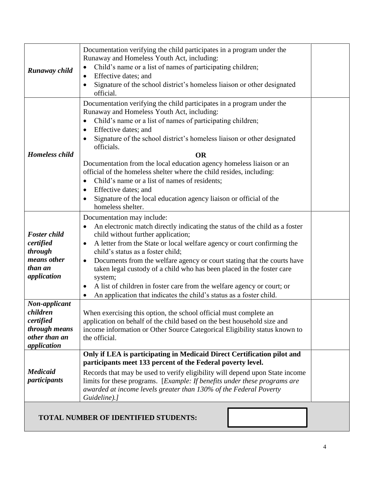| Runaway child                                                                                                     | Documentation verifying the child participates in a program under the<br>Runaway and Homeless Youth Act, including:<br>Child's name or a list of names of participating children;<br>$\bullet$<br>Effective dates; and<br>$\bullet$<br>Signature of the school district's homeless liaison or other designated<br>official.                                                                                                                                                                                                                                                                                                                                                                                           |  |  |  |
|-------------------------------------------------------------------------------------------------------------------|-----------------------------------------------------------------------------------------------------------------------------------------------------------------------------------------------------------------------------------------------------------------------------------------------------------------------------------------------------------------------------------------------------------------------------------------------------------------------------------------------------------------------------------------------------------------------------------------------------------------------------------------------------------------------------------------------------------------------|--|--|--|
| <b>Homeless child</b>                                                                                             | Documentation verifying the child participates in a program under the<br>Runaway and Homeless Youth Act, including:<br>Child's name or a list of names of participating children;<br>$\bullet$<br>Effective dates; and<br>$\bullet$<br>Signature of the school district's homeless liaison or other designated<br>officials.<br><b>OR</b><br>Documentation from the local education agency homeless liaison or an<br>official of the homeless shelter where the child resides, including:<br>Child's name or a list of names of residents;<br>$\bullet$<br>Effective dates; and<br>$\bullet$<br>Signature of the local education agency liaison or official of the<br>homeless shelter.                               |  |  |  |
| <b>Foster child</b><br>certified<br>through<br>means other<br>than an<br>application<br>Non-applicant<br>children | Documentation may include:<br>An electronic match directly indicating the status of the child as a foster<br>$\bullet$<br>child without further application;<br>A letter from the State or local welfare agency or court confirming the<br>$\bullet$<br>child's status as a foster child;<br>Documents from the welfare agency or court stating that the courts have<br>$\bullet$<br>taken legal custody of a child who has been placed in the foster care<br>system;<br>A list of children in foster care from the welfare agency or court; or<br>$\bullet$<br>An application that indicates the child's status as a foster child.<br>$\bullet$<br>When exercising this option, the school official must complete an |  |  |  |
| certified<br>through means<br>other than an<br>application                                                        | application on behalf of the child based on the best household size and<br>income information or Other Source Categorical Eligibility status known to<br>the official.                                                                                                                                                                                                                                                                                                                                                                                                                                                                                                                                                |  |  |  |
| <b>Medicaid</b><br><i>participants</i>                                                                            | Only if LEA is participating in Medicaid Direct Certification pilot and<br>participants meet 133 percent of the Federal poverty level.<br>Records that may be used to verify eligibility will depend upon State income<br>limits for these programs. [ <i>Example: If benefits under these programs are</i><br>awarded at income levels greater than 130% of the Federal Poverty<br>Guideline).]                                                                                                                                                                                                                                                                                                                      |  |  |  |

### **TOTAL NUMBER OF IDENTIFIED STUDENTS:**